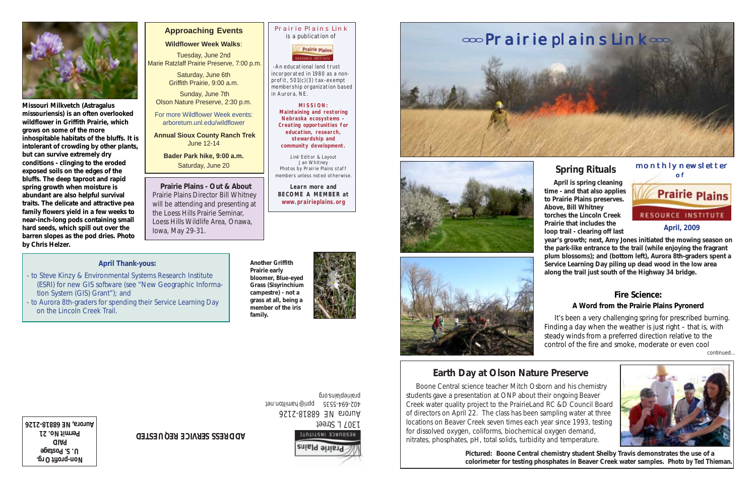monthly newsletter

 **April is spring cleaning time - and that also applies Prairie Plains to Prairie Plains preserves. Above, Bill Whitney RESOURCE INSTITUTE torches the Lincoln Creek Prairie that includes the April, 2009 loop trail - clearing off last year's growth; next, Amy Jones initiated the mowing season on the park-like entrance to the trail (while enjoying the fragrant plum blossoms); and (bottom left), Aurora 8th-graders spent a Service Learning Day piling up dead wood in the low area along the trail just south of the Highway 34 bridge.**

# **Earth Day at Olson Nature Preserve**

 Boone Central science teacher Mitch Osborn and his chemistry students gave a presentation at ONP about their ongoing Beaver Creek water quality project to the PrairieLand RC &D Council Board of directors on April 22. The class has been sampling water at three locations on Beaver Creek seven times each year since 1993, testing for dissolved oxygen, coliforms, biochemical oxygen demand, nitrates, phosphates, pH, total solids, turbidity and temperature.

**Non-profit Org. U. S. Postage PAID Permit No. 21 Aurora, Network of Street (1807) Auroration Control of Street (1807) Aurora, Network of Street (1807) Aurora, Network of Street (1807) Aurora, Network of Street (1807) Aurora, Network of Street (1807) Aurora, Network of S** 

**Pictured: Boone Central chemistry student Shelby Travis demonstrates the use of a colorimeter for testing phosphates in Beaver Creek water samples. Photo by Ted Thieman.**

### Prairie Plains Link is a publication of

### **Prairie plains**

 -An educational land trust incorporated in 1980 as a nonprofit, 501(c)(3) tax-exempt membership organization based in Aurora, NE.

> **MISSION: Maintaining and restoring Nebraska ecosystems - Creating opportunities for education, research, stewardship and community development.**

Link Editor & Layout Jan Whitney Photos by Prairie Plains staff members unless noted otherwise.

**Learn more and BECOME A MEMBER at www.prairieplains.org**

Aurora NE 68818-2126 402-694-5535 ppri@hamilton.net prairieplains.org



**ADDRESS SERVICE REQUESTED**

# **Spring Rituals** monthly n



### **Fire Science: A Word from the Prairie Plains Pyronerd**

 It's been a very challenging spring for prescribed burning. Finding a day when the weather is just right – that is, with steady winds from a preferred direction relative to the control of the fire and smoke, moderate or even cool

continued...





**Missouri Milkvetch (***Astragalus missouriensis***) is an often overlooked wildflower in Griffith Prairie, which grows on some of the more inhospitable habitats of the bluffs. It is intolerant of crowding by other plants, but can survive extremely dry conditions - clinging to the eroded exposed soils on the edges of the bluffs. The deep taproot and rapid spring growth when moisture is abundant are also helpful survival traits. The delicate and attractive pea family flowers yield in a few weeks to near-inch-long pods containing small hard seeds, which spill out over the barren slopes as the pod dries. Photo by Chris Helzer.**

> **Another Griffith Prairie early bloomer, Blue-eyed Grass (***Sisyrinchium campestre***) - not a grass at all, being a member of the iris family.**









### **April Thank-yous:**

- to Steve Kinzy & Environmental Systems Research Institute (ESRI) for new GIS software (see "New Geographic Informa tion System (GIS) Grant"); and
- to Aurora 8th-graders for spending their Service Learning Day on the Lincoln Creek Trail.

### **Approaching Events**

### **Wildflower Week Walks**:

Tuesday, June 2nd Marie Ratzlaff Prairie Preserve, 7:00 p.m.

Saturday, June 6th Griffith Prairie, 9:00 a.m.

Sunday, June 7th Olson Nature Preserve, 2:30 p.m.

For more Wildflower Week events: arboretum.unl.edu/wildflower

**Annual Sioux County Ranch Trek** June 12-14

**Bader Park hike, 9:00 a.m.** Saturday, June 20

**Prairie Plains - Out & About** Prairie Plains Director Bill Whitney will be attending and presenting at the Loess Hills Prairie Seminar, Loess Hills Wildlife Area, Onawa, Iowa, May 29-31.